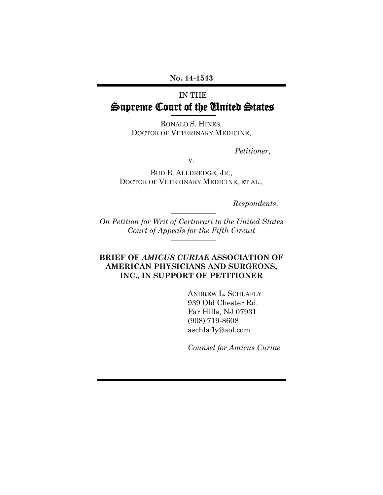**No. 14-1543** 

# IN THE Supreme Court of the United States

RONALD S. HINES*,*  DOCTOR OF VETERINARY MEDICINE,

*Petitioner*,

v.

BUD E. ALLDREDGE, JR., DOCTOR OF VETERINARY MEDICINE, ET AL.*,*

*Respondents*.

*On Petition for Writ of Certiorari to the United States Court of Appeals for the Fifth Circuit* 

### **BRIEF OF** *AMICUS CURIAE* **ASSOCIATION OF AMERICAN PHYSICIANS AND SURGEONS, INC., IN SUPPORT OF PETITIONER**

ANDREW L. SCHLAFLY 939 Old Chester Rd. Far Hills, NJ 07931 (908) 719-8608 aschlafly@aol.com

*Counsel for Amicus Curiae*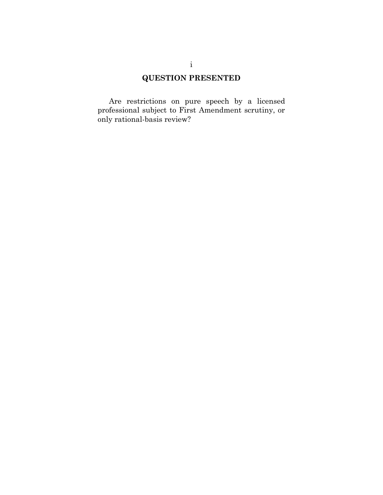# **QUESTION PRESENTED**

Are restrictions on pure speech by a licensed professional subject to First Amendment scrutiny, or only rational-basis review?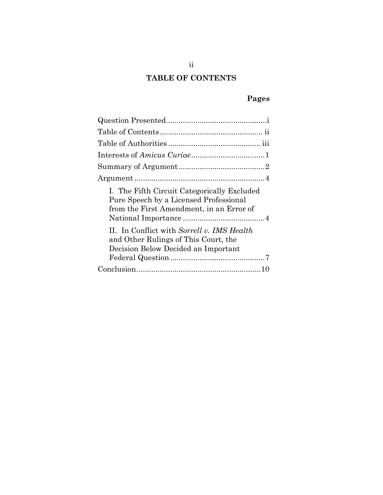# **TABLE OF CONTENTS**

# **Pages**

| I. The Fifth Circuit Categorically Excluded<br>Pure Speech by a Licensed Professional<br>from the First Amendment, in an Error of |
|-----------------------------------------------------------------------------------------------------------------------------------|
| II. In Conflict with Sorrell v. IMS Health<br>and Other Rulings of This Court, the<br>Decision Below Decided an Important         |
|                                                                                                                                   |
|                                                                                                                                   |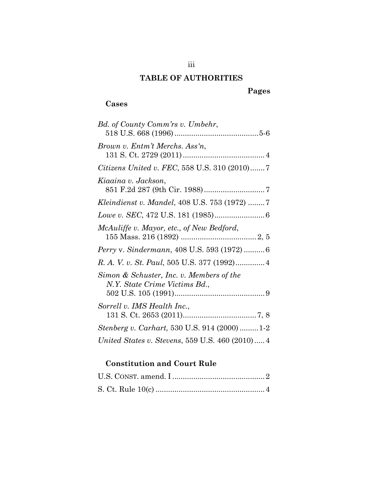## **TABLE OF AUTHORITIES**

## **Pages**

## **Cases**

| Bd. of County Comm'rs v. Umbehr,                                          |
|---------------------------------------------------------------------------|
| Brown v. Entm't Merchs. Ass'n,                                            |
| <i>Citizens United v. FEC, 558 U.S. 310 (2010)7</i>                       |
| Kiaaina v. Jackson,                                                       |
| <i>Kleindienst v. Mandel,</i> 408 U.S. 753 (1972) 7                       |
|                                                                           |
| McAuliffe v. Mayor, etc., of New Bedford,                                 |
| Perry v. Sindermann, 408 U.S. 593 (1972)  6                               |
|                                                                           |
| Simon & Schuster, Inc. v. Members of the<br>N.Y. State Crime Victims Bd., |
| Sorrell v. IMS Health Inc.,                                               |
| <i>Stenberg v. Carhart,</i> 530 U.S. 914 (2000) 1-2                       |
| United States v. Stevens, 559 U.S. 460 (2010) 4                           |

## **Constitution and Court Rule**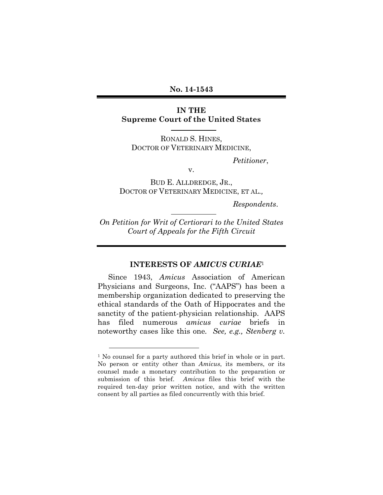#### **No. 14-1543**

### **IN THE Supreme Court of the United States**

RONALD S. HINES, DOCTOR OF VETERINARY MEDICINE,

*Petitioner*,

v.

BUD E. ALLDREDGE, JR., DOCTOR OF VETERINARY MEDICINE, ET AL.*,*

*Respondents*.

*On Petition for Writ of Certiorari to the United States Court of Appeals for the Fifth Circuit* 

### **INTERESTS OF** *AMICUS CURIAE*<sup>1</sup>

Since 1943, *Amicus* Association of American Physicians and Surgeons, Inc. ("AAPS") has been a membership organization dedicated to preserving the ethical standards of the Oath of Hippocrates and the sanctity of the patient-physician relationship. AAPS has filed numerous *amicus curiae* briefs in noteworthy cases like this one*. See, e.g., Stenberg v.* 

 $\overline{a}$ 

<sup>&</sup>lt;sup>1</sup> No counsel for a party authored this brief in whole or in part. No person or entity other than *Amicus*, its members, or its counsel made a monetary contribution to the preparation or submission of this brief. *Amicus* files this brief with the required ten-day prior written notice, and with the written consent by all parties as filed concurrently with this brief.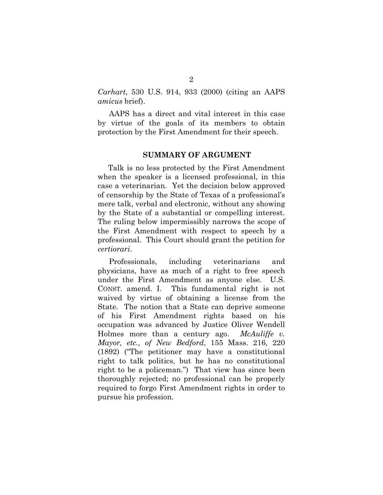*Carhart*, 530 U.S. 914, 933 (2000) (citing an AAPS *amicus* brief).

AAPS has a direct and vital interest in this case by virtue of the goals of its members to obtain protection by the First Amendment for their speech.

#### **SUMMARY OF ARGUMENT**

 Talk is no less protected by the First Amendment when the speaker is a licensed professional, in this case a veterinarian. Yet the decision below approved of censorship by the State of Texas of a professional's mere talk, verbal and electronic, without any showing by the State of a substantial or compelling interest. The ruling below impermissibly narrows the scope of the First Amendment with respect to speech by a professional. This Court should grant the petition for *certiorari*.

Professionals, including veterinarians and physicians, have as much of a right to free speech under the First Amendment as anyone else. U.S. CONST. amend. I. This fundamental right is not waived by virtue of obtaining a license from the State. The notion that a State can deprive someone of his First Amendment rights based on his occupation was advanced by Justice Oliver Wendell Holmes more than a century ago. *McAuliffe v. Mayor, etc., of New Bedford*, 155 Mass. 216, 220 (1892) ("The petitioner may have a constitutional right to talk politics, but he has no constitutional right to be a policeman.") That view has since been thoroughly rejected; no professional can be properly required to forgo First Amendment rights in order to pursue his profession.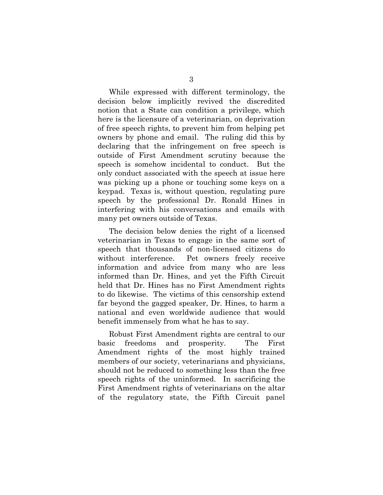While expressed with different terminology, the decision below implicitly revived the discredited notion that a State can condition a privilege, which here is the licensure of a veterinarian, on deprivation of free speech rights, to prevent him from helping pet owners by phone and email. The ruling did this by declaring that the infringement on free speech is outside of First Amendment scrutiny because the speech is somehow incidental to conduct. But the only conduct associated with the speech at issue here was picking up a phone or touching some keys on a keypad. Texas is, without question, regulating pure speech by the professional Dr. Ronald Hines in interfering with his conversations and emails with many pet owners outside of Texas.

The decision below denies the right of a licensed veterinarian in Texas to engage in the same sort of speech that thousands of non-licensed citizens do without interference. Pet owners freely receive information and advice from many who are less informed than Dr. Hines, and yet the Fifth Circuit held that Dr. Hines has no First Amendment rights to do likewise. The victims of this censorship extend far beyond the gagged speaker, Dr. Hines, to harm a national and even worldwide audience that would benefit immensely from what he has to say.

Robust First Amendment rights are central to our basic freedoms and prosperity. The First Amendment rights of the most highly trained members of our society, veterinarians and physicians, should not be reduced to something less than the free speech rights of the uninformed. In sacrificing the First Amendment rights of veterinarians on the altar of the regulatory state, the Fifth Circuit panel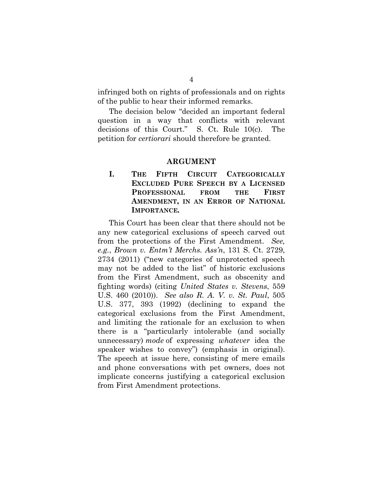infringed both on rights of professionals and on rights of the public to hear their informed remarks.

The decision below "decided an important federal question in a way that conflicts with relevant decisions of this Court." S. Ct. Rule 10(c). The petition for *certiorari* should therefore be granted.

#### **ARGUMENT**

**I. THE FIFTH CIRCUIT CATEGORICALLY EXCLUDED PURE SPEECH BY A LICENSED PROFESSIONAL FROM THE FIRST AMENDMENT, IN AN ERROR OF NATIONAL IMPORTANCE***.*

This Court has been clear that there should not be any new categorical exclusions of speech carved out from the protections of the First Amendment. *See, e.g.*, *Brown v. Entm't Merchs. Ass'n*, 131 S. Ct. 2729, 2734 (2011) ("new categories of unprotected speech may not be added to the list" of historic exclusions from the First Amendment, such as obscenity and fighting words) (citing *United States v. Stevens*, 559 U.S. 460 (2010)). *See also R. A. V. v. St. Paul*, 505 U.S. 377, 393 (1992) (declining to expand the categorical exclusions from the First Amendment, and limiting the rationale for an exclusion to when there is a "particularly intolerable (and socially unnecessary) *mode* of expressing *whatever* idea the speaker wishes to convey") (emphasis in original). The speech at issue here, consisting of mere emails and phone conversations with pet owners, does not implicate concerns justifying a categorical exclusion from First Amendment protections.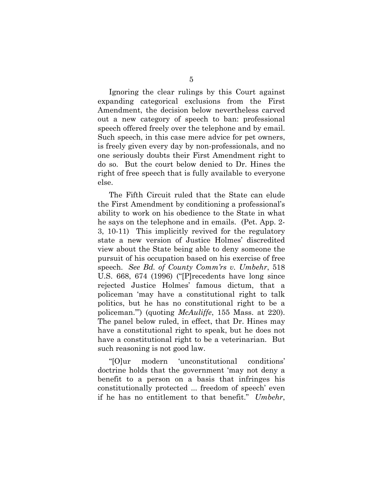Ignoring the clear rulings by this Court against expanding categorical exclusions from the First Amendment, the decision below nevertheless carved out a new category of speech to ban: professional speech offered freely over the telephone and by email. Such speech, in this case mere advice for pet owners, is freely given every day by non-professionals, and no one seriously doubts their First Amendment right to do so. But the court below denied to Dr. Hines the right of free speech that is fully available to everyone else.

The Fifth Circuit ruled that the State can elude the First Amendment by conditioning a professional's ability to work on his obedience to the State in what he says on the telephone and in emails. (Pet. App. 2- 3, 10-11) This implicitly revived for the regulatory state a new version of Justice Holmes' discredited view about the State being able to deny someone the pursuit of his occupation based on his exercise of free speech. *See Bd. of County Comm'rs v. Umbehr*, 518 U.S. 668, 674 (1996) ("[P]recedents have long since rejected Justice Holmes' famous dictum, that a policeman 'may have a constitutional right to talk politics, but he has no constitutional right to be a policeman.'") (quoting *McAuliffe*, 155 Mass. at 220). The panel below ruled, in effect, that Dr. Hines may have a constitutional right to speak, but he does not have a constitutional right to be a veterinarian. But such reasoning is not good law.

"[O]ur modern 'unconstitutional conditions' doctrine holds that the government 'may not deny a benefit to a person on a basis that infringes his constitutionally protected ... freedom of speech' even if he has no entitlement to that benefit." *Umbehr*,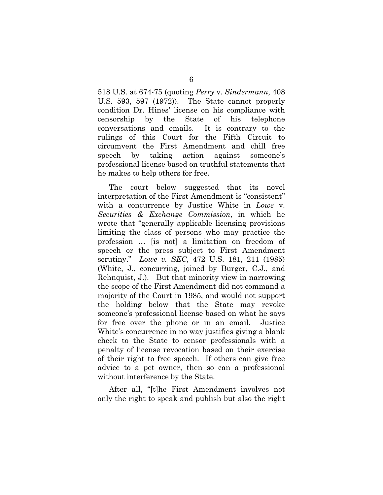518 U.S. at 674-75 (quoting *Perry* v. *Sindermann*, 408 U.S. 593, 597 (1972)). The State cannot properly condition Dr. Hines' license on his compliance with censorship by the State of his telephone conversations and emails. It is contrary to the rulings of this Court for the Fifth Circuit to circumvent the First Amendment and chill free speech by taking action against someone's professional license based on truthful statements that he makes to help others for free.

The court below suggested that its novel interpretation of the First Amendment is "consistent" with a concurrence by Justice White in *Lowe* v. *Securities & Exchange Commission*, in which he wrote that "generally applicable licensing provisions limiting the class of persons who may practice the profession … [is not] a limitation on freedom of speech or the press subject to First Amendment scrutiny." *Lowe v. SEC*, 472 U.S. 181, 211 (1985) (White, J., concurring, joined by Burger, C.J., and Rehnquist, J.). But that minority view in narrowing the scope of the First Amendment did not command a majority of the Court in 1985, and would not support the holding below that the State may revoke someone's professional license based on what he says for free over the phone or in an email. Justice White's concurrence in no way justifies giving a blank check to the State to censor professionals with a penalty of license revocation based on their exercise of their right to free speech. If others can give free advice to a pet owner, then so can a professional without interference by the State.

After all, "[t]he First Amendment involves not only the right to speak and publish but also the right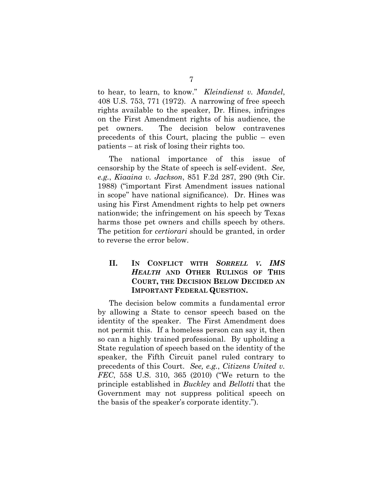to hear, to learn, to know." *Kleindienst v. Mandel*, 408 U.S. 753, 771 (1972). A narrowing of free speech rights available to the speaker, Dr. Hines, infringes on the First Amendment rights of his audience, the pet owners. The decision below contravenes precedents of this Court, placing the public – even patients – at risk of losing their rights too.

The national importance of this issue of censorship by the State of speech is self-evident. *See, e.g.*, *Kiaaina v. Jackson*, 851 F.2d 287, 290 (9th Cir. 1988) ("important First Amendment issues national in scope" have national significance). Dr. Hines was using his First Amendment rights to help pet owners nationwide; the infringement on his speech by Texas harms those pet owners and chills speech by others. The petition for *certiorari* should be granted, in order to reverse the error below.

### **II. IN CONFLICT WITH** *SORRELL V. IMS HEALTH* **AND OTHER RULINGS OF THIS COURT, THE DECISION BELOW DECIDED AN IMPORTANT FEDERAL QUESTION.**

The decision below commits a fundamental error by allowing a State to censor speech based on the identity of the speaker. The First Amendment does not permit this. If a homeless person can say it, then so can a highly trained professional. By upholding a State regulation of speech based on the identity of the speaker, the Fifth Circuit panel ruled contrary to precedents of this Court. *See, e.g.*, *Citizens United v. FEC*, 558 U.S. 310, 365 (2010) ("We return to the principle established in *Buckley* and *Bellotti* that the Government may not suppress political speech on the basis of the speaker's corporate identity.").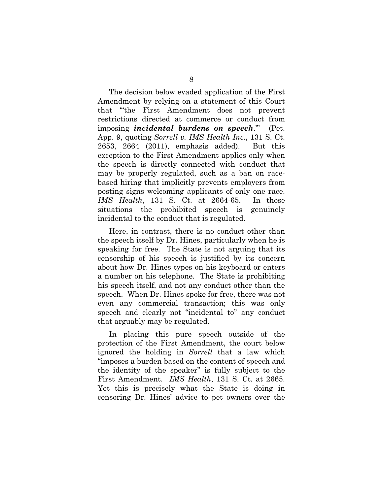The decision below evaded application of the First Amendment by relying on a statement of this Court that "'the First Amendment does not prevent restrictions directed at commerce or conduct from imposing *incidental burdens on speech*.'" (Pet. App. 9, quoting *Sorrell v. IMS Health Inc.*, 131 S. Ct. 2653, 2664 (2011), emphasis added). But this exception to the First Amendment applies only when the speech is directly connected with conduct that may be properly regulated, such as a ban on racebased hiring that implicitly prevents employers from posting signs welcoming applicants of only one race. *IMS Health*, 131 S. Ct. at 2664-65. In those situations the prohibited speech is genuinely incidental to the conduct that is regulated.

Here, in contrast, there is no conduct other than the speech itself by Dr. Hines, particularly when he is speaking for free. The State is not arguing that its censorship of his speech is justified by its concern about how Dr. Hines types on his keyboard or enters a number on his telephone. The State is prohibiting his speech itself, and not any conduct other than the speech. When Dr. Hines spoke for free, there was not even any commercial transaction; this was only speech and clearly not "incidental to" any conduct that arguably may be regulated.

In placing this pure speech outside of the protection of the First Amendment, the court below ignored the holding in *Sorrell* that a law which "imposes a burden based on the content of speech and the identity of the speaker" is fully subject to the First Amendment. *IMS Health*, 131 S. Ct. at 2665. Yet this is precisely what the State is doing in censoring Dr. Hines' advice to pet owners over the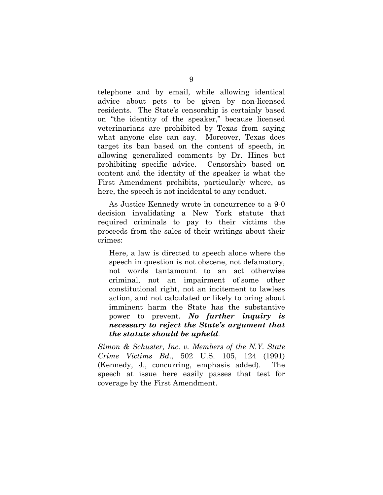telephone and by email, while allowing identical advice about pets to be given by non-licensed residents. The State's censorship is certainly based on "the identity of the speaker," because licensed veterinarians are prohibited by Texas from saying what anyone else can say. Moreover, Texas does target its ban based on the content of speech, in allowing generalized comments by Dr. Hines but prohibiting specific advice. Censorship based on content and the identity of the speaker is what the First Amendment prohibits, particularly where, as here, the speech is not incidental to any conduct.

As Justice Kennedy wrote in concurrence to a 9-0 decision invalidating a New York statute that required criminals to pay to their victims the proceeds from the sales of their writings about their crimes:

Here, a law is directed to speech alone where the speech in question is not obscene, not defamatory, not words tantamount to an act otherwise criminal, not an impairment of some other constitutional right, not an incitement to lawless action, and not calculated or likely to bring about imminent harm the State has the substantive power to prevent. *No further inquiry is necessary to reject the State's argument that the statute should be upheld*.

*Simon & Schuster, Inc. v. Members of the N.Y. State Crime Victims Bd*., 502 U.S. 105, 124 (1991) (Kennedy, J., concurring, emphasis added). The speech at issue here easily passes that test for coverage by the First Amendment.